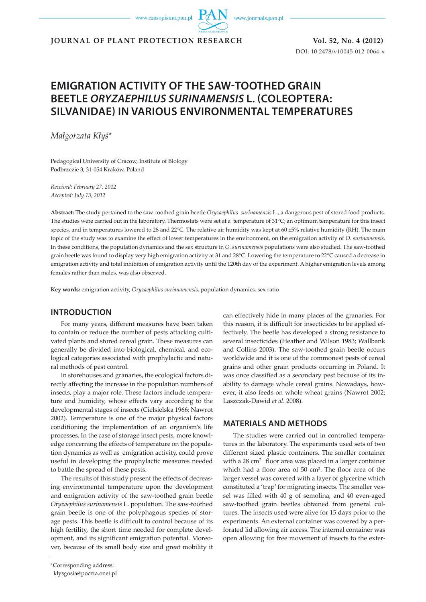www.czasopisma.pan.pl

www.journals.pan.pl

**JOURNAL OF PLANT PROTECTION RESEARCH Vol. 52, No. 4 (2012)**

DOI: 10.2478/v10045-012-0064-x

# **EMIGRATION ACTIVITY OF THE SAW-TOOTHED GRAIN BEETLE** *ORYZAEPHILUS SURINAMENSIS* **L. (COLEOPTERA: SILVANIDAE) IN VARIOUS ENVIRONMENTAL TEMPERATURES**

*Małgorzata Kłyś\**

Pedagogical University of Cracow, Institute of Biology Podbrzezie 3, 31-054 Kraków, Poland

*Received: February 27, 2012 Accepted: July 13, 2012*

**Abstract:** The study pertained to the saw-toothed grain beetle *Oryzaephilus surinamensis* L., a dangerous pest of stored food products. The studies were carried out in the laboratory. Thermostats were set at a temperature of  $31^{\circ}\text{C}$ ; an optimum temperature for this insect species, and in temperatures lowered to 28 and 22°C. The relative air humidity was kept at 60 ±5% relative humidity (RH). The main topic of the study was to examine the effect of lower temperatures in the environment, on the emigration activity of *O. surinamensis*. In these conditions, the population dynamics and the sex structure in *O. surinamensis* populations were also studied. The saw-toothed grain beetle was found to display very high emigration activity at 31 and 28°C. Lowering the temperature to 22°C caused a decrease in emigration activity and total inhibition of emigration activity until the 120th day of the experiment. A higher emigration levels among females rather than males, was also observed.

**Key words:** emigration activity, *Oryzaephilus surianamensis,* population dynamics, sex ratio

### **INTRODUCTION**

For many years, different measures have been taken to contain or reduce the number of pests attacking cultivated plants and stored cereal grain. These measures can generally be divided into biological, chemical, and ecological categories associated with prophylactic and natural methods of pest control.

In storehouses and granaries, the ecological factors directly affecting the increase in the population numbers of insects, play a major role. These factors include temperature and humidity, whose effects vary according to the developmental stages of insects (Cielsielska 1966; Nawrot 2002). Temperature is one of the major physical factors conditioning the implementation of an organism's life processes. In the case of storage insect pests, more knowledge concerning the effects of temperature on the population dynamics as well as emigration activity, could prove useful in developing the prophylactic measures needed to battle the spread of these pests.

The results of this study present the effects of decreasing environmental temperature upon the development and emigration activity of the saw-toothed grain beetle *Oryzaephilus surinamensis* L. population. The saw-toothed grain beetle is one of the polyphagous species of storage pests. This beetle is difficult to control because of its high fertility, the short time needed for complete development, and its significant emigration potential. Moreover, because of its small body size and great mobility it can effectively hide in many places of the granaries. For this reason, it is difficult for insecticides to be applied effectively. The beetle has developed a strong resistance to several insecticides (Heather and Wilson 1983; Wallbank and Collins 2003). The saw-toothed grain beetle occurs worldwide and it is one of the commonest pests of cereal grains and other grain products occurring in Poland. It was once classified as a secondary pest because of its inability to damage whole cereal grains. Nowadays, however, it also feeds on whole wheat grains (Nawrot 2002; Laszczak-Dawid *et al*. 2008).

# **MATERIALS AND METHODS**

The studies were carried out in controlled temperatures in the laboratory. The experiments used sets of two different sized plastic containers. The smaller container with a 28 cm<sup>2</sup> floor area was placed in a larger container which had a floor area of 50 cm2. The floor area of the larger vessel was covered with a layer of glycerine which constituted a 'trap' for migrating insects. The smaller vessel was filled with 40 g of semolina, and 40 even-aged saw-toothed grain beetles obtained from general cultures. The insects used were alive for 15 days prior to the experiments. An external container was covered by a perforated lid allowing air access. The internal container was open allowing for free movement of insects to the exter-

<sup>\*</sup>Corresponding address:

klysgosia@poczta.onet.pl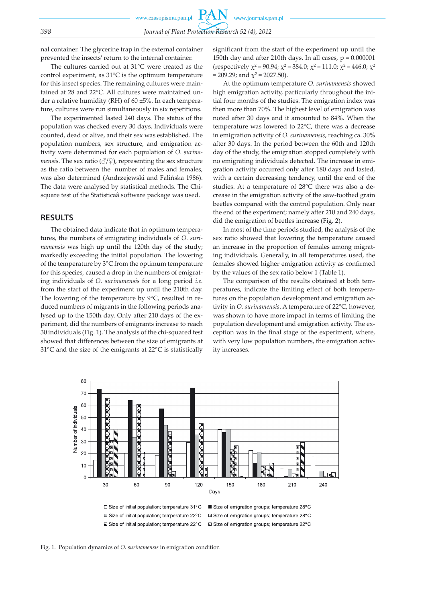nal container. The glycerine trap in the external container prevented the insects' return to the internal container.

The cultures carried out at 31°C were treated as the control experiment, as 31°C is the optimum temperature for this insect species. The remaining cultures were maintained at 28 and 22°C. All cultures were maintained under a relative humidity (RH) of 60 ±5%. In each temperature, cultures were run simultaneously in six repetitions.

The experimented lasted 240 days. The status of the population was checked every 30 days. Individuals were counted, dead or alive, and their sex was established. The population numbers, sex structure, and emigration activity were determined for each population of *O. surinamensis*. The sex ratio ( $\partial/\partial$ ), representing the sex structure as the ratio between the number of males and females, was also determined (Andrzejewski and Falińska 1986). The data were analysed by statistical methods. The Chisquare test of the Statisticaâ software package was used.

# **RESULTS**

The obtained data indicate that in optimum temperatures, the numbers of emigrating individuals of *O. surinamensis* was high up until the 120th day of the study; markedly exceeding the initial population. The lowering of the temperature by 3°C from the optimum temperature for this species, caused a drop in the numbers of emigrating individuals of *O. surinamensis* for a long period *i.e.* from the start of the experiment up until the 210th day. The lowering of the temperature by 9°C, resulted in reduced numbers of migrants in the following periods analysed up to the 150th day. Only after 210 days of the experiment, did the numbers of emigrants increase to reach 30 individuals (Fig. 1). The analysis of the chi-squared test showed that differences between the size of emigrants at 31°C and the size of the emigrants at 22°C is statistically

significant from the start of the experiment up until the 150th day and after 210th days. In all cases,  $p = 0.000001$ (respectively  $\chi^2$  = 90.94;  $\chi^2$  = 384.0;  $\chi^2$  = 111.0;  $\chi^2$  = 446.0;  $\chi^2$  $= 209.29$ ; and  $\chi^2 = 2027.50$ ).

At the optimum temperature *O. surinamensis* showed high emigration activity, particularly throughout the initial four months of the studies. The emigration index was then more than 70%. The highest level of emigration was noted after 30 days and it amounted to 84%. When the temperature was lowered to 22°C, there was a decrease in emigration activity of *O. surinamensis*, reaching ca. 30% after 30 days. In the period between the 60th and 120th day of the study, the emigration stopped completely with no emigrating individuals detected. The increase in emigration activity occurred only after 180 days and lasted, with a certain decreasing tendency, until the end of the studies. At a temperature of 28°C there was also a decrease in the emigration activity of the saw-toothed grain beetles compared with the control population. Only near the end of the experiment; namely after 210 and 240 days, did the emigration of beetles increase (Fig. 2).

In most of the time periods studied, the analysis of the sex ratio showed that lowering the temperature caused an increase in the proportion of females among migrating individuals. Generally, in all temperatures used, the females showed higher emigration activity as confirmed by the values of the sex ratio below 1 (Table 1).

The comparison of the results obtained at both temperatures, indicate the limiting effect of both temperatures on the population development and emigration activity in *O. surinamensis*. A temperature of 22°C, however, was shown to have more impact in terms of limiting the population development and emigration activity. The exception was in the final stage of the experiment, where, with very low population numbers, the emigration activity increases.



□ Size of emigration groups: temperature 22°C

Fig. 1. Population dynamics of *O. surinamensis* in emigration condition

■ Size of initial population: temperature 22°C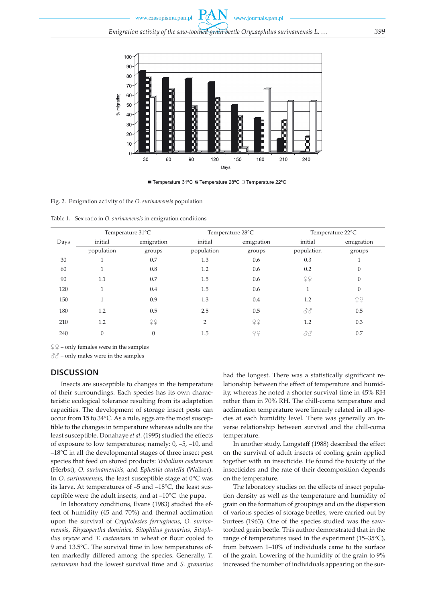

■ Temperature 31°C & Temperature 28°C □ Temperature 22°C

#### Fig. 2. Emigration activity of the *O. surinamensis* population

Table 1. Sex ratio in *O. surinamensis* in emigration conditions

|      | Temperature 31°C |            | Temperature 28°C |            | Temperature 22°C         |            |
|------|------------------|------------|------------------|------------|--------------------------|------------|
| Days | initial          | emigration | initial          | emigration | initial                  | emigration |
|      | population       | groups     | population       | groups     | population               | groups     |
| 30   |                  | 0.7        | 1.3              | 0.6        | 0.3                      |            |
| 60   |                  | 0.8        | 1.2              | 0.6        | 0.2                      |            |
| 90   | 1.1              | 0.7        | 1.5              | 0.6        | ₽₽                       |            |
| 120  |                  | 0.4        | 1.5              | 0.6        |                          | $\theta$   |
| 150  |                  | 0.9        | 1.3              | 0.4        | 1.2                      | ¥¥         |
| 180  | 1.2              | 0.5        | 2.5              | 0.5        | $\mathcal{S}\mathcal{S}$ | 0.5        |
| 210  | 1.2              | 99         | $\overline{2}$   | 79         | 1.2                      | 0.3        |
| 240  | $\Omega$         | $\theta$   | 1.5              | 22         | 88                       | 0.7        |

 $\mathcal{L} \mathcal{L}$  – only females were in the samples

 $\text{d}^{\mathcal{A}}\text{-}$  only males were in the samples

#### **DISCUSSION**

Insects are susceptible to changes in the temperature of their surroundings. Each species has its own characteristic ecological tolerance resulting from its adaptation capacities. The development of storage insect pests can occur from 15 to 34°C. As a rule, eggs are the most susceptible to the changes in temperature whereas adults are the least susceptible. Donahaye *et al*. (1995) studied the effects of exposure to low temperatures; namely: 0, –5, –10, and –18°C in all the developmental stages of three insect pest species that feed on stored products: *Tribolium castaneum* (Herbst), *O. surinamenisis,* and *Ephestia cautella* (Walker). In *O. surinamensis,* the least susceptible stage at 0°C was its larva. At temperatures of –5 and –18°C, the least susceptible were the adult insects, and at –10°C the pupa.

In laboratory conditions, Evans (1983) studied the effect of humidity (45 and 70%) and thermal acclimation upon the survival of *Cryptolestes ferrugineus*, *O. surinamensis*, *Rhyzopertha dominica*, *Sitophilus granarius*, *Sitophilus oryzae* and *T. castaneum* in wheat or flour cooled to 9 and 13.5°C. The survival time in low temperatures often markedly differed among the species. Generally, *T. castaneum* had the lowest survival time and *S. granarius* had the longest. There was a statistically significant relationship between the effect of temperature and humidity, whereas he noted a shorter survival time in 45% RH rather than in 70% RH. The chill-coma temperature and acclimation temperature were linearly related in all species at each humidity level. There was generally an inverse relationship between survival and the chill-coma temperature.

In another study, Longstaff (1988) described the effect on the survival of adult insects of cooling grain applied together with an insecticide. He found the toxicity of the insecticides and the rate of their decomposition depends on the temperature.

The laboratory studies on the effects of insect population density as well as the temperature and humidity of grain on the formation of groupings and on the dispersion of various species of storage beetles, were carried out by Surtees (1963). One of the species studied was the sawtoothed grain beetle. This author demonstrated that in the range of temperatures used in the experiment (15–35°C), from between 1–10% of individuals came to the surface of the grain. Lowering of the humidity of the grain to 9% increased the number of individuals appearing on the sur